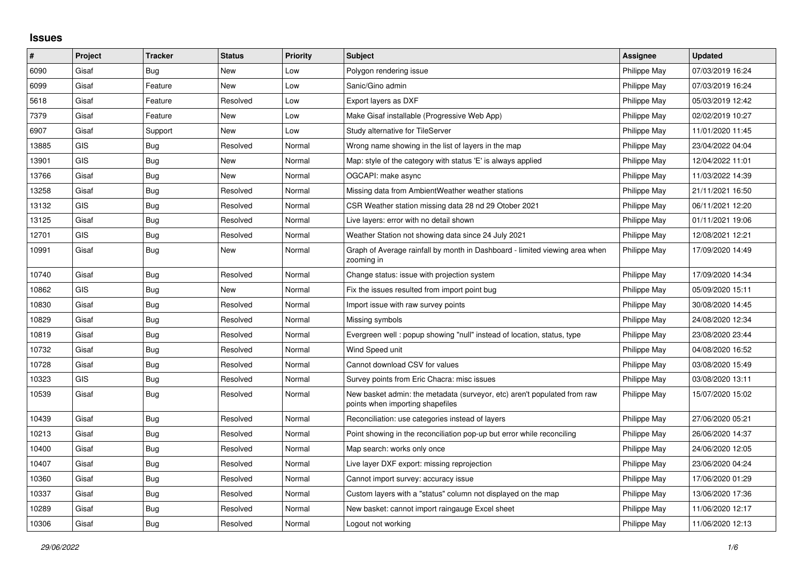## **Issues**

| ∦     | Project    | <b>Tracker</b> | <b>Status</b> | <b>Priority</b> | <b>Subject</b>                                                                                               | Assignee     | <b>Updated</b>   |
|-------|------------|----------------|---------------|-----------------|--------------------------------------------------------------------------------------------------------------|--------------|------------------|
| 6090  | Gisaf      | Bug            | New           | Low             | Polygon rendering issue                                                                                      | Philippe May | 07/03/2019 16:24 |
| 6099  | Gisaf      | Feature        | <b>New</b>    | Low             | Sanic/Gino admin                                                                                             | Philippe May | 07/03/2019 16:24 |
| 5618  | Gisaf      | Feature        | Resolved      | Low             | Export layers as DXF                                                                                         | Philippe May | 05/03/2019 12:42 |
| 7379  | Gisaf      | Feature        | New           | Low             | Make Gisaf installable (Progressive Web App)                                                                 | Philippe May | 02/02/2019 10:27 |
| 6907  | Gisaf      | Support        | <b>New</b>    | Low             | Study alternative for TileServer                                                                             | Philippe May | 11/01/2020 11:45 |
| 13885 | <b>GIS</b> | Bug            | Resolved      | Normal          | Wrong name showing in the list of layers in the map                                                          | Philippe May | 23/04/2022 04:04 |
| 13901 | <b>GIS</b> | Bug            | New           | Normal          | Map: style of the category with status 'E' is always applied                                                 | Philippe May | 12/04/2022 11:01 |
| 13766 | Gisaf      | Bug            | <b>New</b>    | Normal          | OGCAPI: make async                                                                                           | Philippe May | 11/03/2022 14:39 |
| 13258 | Gisaf      | Bug            | Resolved      | Normal          | Missing data from AmbientWeather weather stations                                                            | Philippe May | 21/11/2021 16:50 |
| 13132 | <b>GIS</b> | Bug            | Resolved      | Normal          | CSR Weather station missing data 28 nd 29 Otober 2021                                                        | Philippe May | 06/11/2021 12:20 |
| 13125 | Gisaf      | Bug            | Resolved      | Normal          | Live layers: error with no detail shown                                                                      | Philippe May | 01/11/2021 19:06 |
| 12701 | <b>GIS</b> | Bug            | Resolved      | Normal          | Weather Station not showing data since 24 July 2021                                                          | Philippe May | 12/08/2021 12:21 |
| 10991 | Gisaf      | Bug            | New           | Normal          | Graph of Average rainfall by month in Dashboard - limited viewing area when<br>zooming in                    | Philippe May | 17/09/2020 14:49 |
| 10740 | Gisaf      | Bug            | Resolved      | Normal          | Change status: issue with projection system                                                                  | Philippe May | 17/09/2020 14:34 |
| 10862 | <b>GIS</b> | Bug            | <b>New</b>    | Normal          | Fix the issues resulted from import point bug                                                                | Philippe May | 05/09/2020 15:11 |
| 10830 | Gisaf      | Bug            | Resolved      | Normal          | Import issue with raw survey points                                                                          | Philippe May | 30/08/2020 14:45 |
| 10829 | Gisaf      | Bug            | Resolved      | Normal          | Missing symbols                                                                                              | Philippe May | 24/08/2020 12:34 |
| 10819 | Gisaf      | Bug            | Resolved      | Normal          | Evergreen well: popup showing "null" instead of location, status, type                                       | Philippe May | 23/08/2020 23:44 |
| 10732 | Gisaf      | <b>Bug</b>     | Resolved      | Normal          | Wind Speed unit                                                                                              | Philippe May | 04/08/2020 16:52 |
| 10728 | Gisaf      | Bug            | Resolved      | Normal          | Cannot download CSV for values                                                                               | Philippe May | 03/08/2020 15:49 |
| 10323 | <b>GIS</b> | Bug            | Resolved      | Normal          | Survey points from Eric Chacra: misc issues                                                                  | Philippe May | 03/08/2020 13:11 |
| 10539 | Gisaf      | <b>Bug</b>     | Resolved      | Normal          | New basket admin: the metadata (surveyor, etc) aren't populated from raw<br>points when importing shapefiles | Philippe May | 15/07/2020 15:02 |
| 10439 | Gisaf      | Bug            | Resolved      | Normal          | Reconciliation: use categories instead of layers                                                             | Philippe May | 27/06/2020 05:21 |
| 10213 | Gisaf      | Bug            | Resolved      | Normal          | Point showing in the reconciliation pop-up but error while reconciling                                       | Philippe May | 26/06/2020 14:37 |
| 10400 | Gisaf      | <b>Bug</b>     | Resolved      | Normal          | Map search: works only once                                                                                  | Philippe May | 24/06/2020 12:05 |
| 10407 | Gisaf      | Bug            | Resolved      | Normal          | Live layer DXF export: missing reprojection                                                                  | Philippe May | 23/06/2020 04:24 |
| 10360 | Gisaf      | Bug            | Resolved      | Normal          | Cannot import survey: accuracy issue                                                                         | Philippe May | 17/06/2020 01:29 |
| 10337 | Gisaf      | Bug            | Resolved      | Normal          | Custom layers with a "status" column not displayed on the map                                                | Philippe May | 13/06/2020 17:36 |
| 10289 | Gisaf      | <b>Bug</b>     | Resolved      | Normal          | New basket: cannot import raingauge Excel sheet                                                              | Philippe May | 11/06/2020 12:17 |
| 10306 | Gisaf      | Bug            | Resolved      | Normal          | Logout not working                                                                                           | Philippe May | 11/06/2020 12:13 |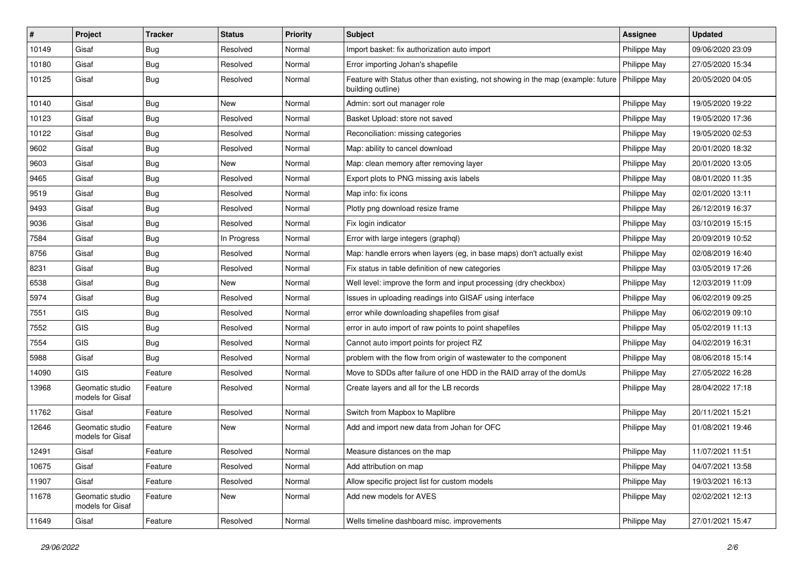| #     | Project                             | <b>Tracker</b> | <b>Status</b> | Priority | <b>Subject</b>                                                                                        | <b>Assignee</b> | <b>Updated</b>   |
|-------|-------------------------------------|----------------|---------------|----------|-------------------------------------------------------------------------------------------------------|-----------------|------------------|
| 10149 | Gisaf                               | <b>Bug</b>     | Resolved      | Normal   | Import basket: fix authorization auto import                                                          | Philippe May    | 09/06/2020 23:09 |
| 10180 | Gisaf                               | Bug            | Resolved      | Normal   | Error importing Johan's shapefile                                                                     | Philippe May    | 27/05/2020 15:34 |
| 10125 | Gisaf                               | <b>Bug</b>     | Resolved      | Normal   | Feature with Status other than existing, not showing in the map (example: future<br>building outline) | Philippe May    | 20/05/2020 04:05 |
| 10140 | Gisaf                               | Bug            | New           | Normal   | Admin: sort out manager role                                                                          | Philippe May    | 19/05/2020 19:22 |
| 10123 | Gisaf                               | <b>Bug</b>     | Resolved      | Normal   | Basket Upload: store not saved                                                                        | Philippe May    | 19/05/2020 17:36 |
| 10122 | Gisaf                               | <b>Bug</b>     | Resolved      | Normal   | Reconciliation: missing categories                                                                    | Philippe May    | 19/05/2020 02:53 |
| 9602  | Gisaf                               | Bug            | Resolved      | Normal   | Map: ability to cancel download                                                                       | Philippe May    | 20/01/2020 18:32 |
| 9603  | Gisaf                               | <b>Bug</b>     | New           | Normal   | Map: clean memory after removing layer                                                                | Philippe May    | 20/01/2020 13:05 |
| 9465  | Gisaf                               | <b>Bug</b>     | Resolved      | Normal   | Export plots to PNG missing axis labels                                                               | Philippe May    | 08/01/2020 11:35 |
| 9519  | Gisaf                               | Bug            | Resolved      | Normal   | Map info: fix icons                                                                                   | Philippe May    | 02/01/2020 13:11 |
| 9493  | Gisaf                               | <b>Bug</b>     | Resolved      | Normal   | Plotly png download resize frame                                                                      | Philippe May    | 26/12/2019 16:37 |
| 9036  | Gisaf                               | <b>Bug</b>     | Resolved      | Normal   | Fix login indicator                                                                                   | Philippe May    | 03/10/2019 15:15 |
| 7584  | Gisaf                               | <b>Bug</b>     | In Progress   | Normal   | Error with large integers (graphgl)                                                                   | Philippe May    | 20/09/2019 10:52 |
| 8756  | Gisaf                               | <b>Bug</b>     | Resolved      | Normal   | Map: handle errors when layers (eg, in base maps) don't actually exist                                | Philippe May    | 02/08/2019 16:40 |
| 8231  | Gisaf                               | Bug            | Resolved      | Normal   | Fix status in table definition of new categories                                                      | Philippe May    | 03/05/2019 17:26 |
| 6538  | Gisaf                               | <b>Bug</b>     | <b>New</b>    | Normal   | Well level: improve the form and input processing (dry checkbox)                                      | Philippe May    | 12/03/2019 11:09 |
| 5974  | Gisaf                               | Bug            | Resolved      | Normal   | Issues in uploading readings into GISAF using interface                                               | Philippe May    | 06/02/2019 09:25 |
| 7551  | GIS                                 | <b>Bug</b>     | Resolved      | Normal   | error while downloading shapefiles from gisaf                                                         | Philippe May    | 06/02/2019 09:10 |
| 7552  | GIS                                 | Bug            | Resolved      | Normal   | error in auto import of raw points to point shapefiles                                                | Philippe May    | 05/02/2019 11:13 |
| 7554  | <b>GIS</b>                          | <b>Bug</b>     | Resolved      | Normal   | Cannot auto import points for project RZ                                                              | Philippe May    | 04/02/2019 16:31 |
| 5988  | Gisaf                               | Bug            | Resolved      | Normal   | problem with the flow from origin of wastewater to the component                                      | Philippe May    | 08/06/2018 15:14 |
| 14090 | <b>GIS</b>                          | Feature        | Resolved      | Normal   | Move to SDDs after failure of one HDD in the RAID array of the domUs                                  | Philippe May    | 27/05/2022 16:28 |
| 13968 | Geomatic studio<br>models for Gisaf | Feature        | Resolved      | Normal   | Create layers and all for the LB records                                                              | Philippe May    | 28/04/2022 17:18 |
| 11762 | Gisaf                               | Feature        | Resolved      | Normal   | Switch from Mapbox to Maplibre                                                                        | Philippe May    | 20/11/2021 15:21 |
| 12646 | Geomatic studio<br>models for Gisaf | Feature        | New           | Normal   | Add and import new data from Johan for OFC                                                            | Philippe May    | 01/08/2021 19:46 |
| 12491 | Gisaf                               | Feature        | Resolved      | Normal   | Measure distances on the map                                                                          | Philippe May    | 11/07/2021 11:51 |
| 10675 | Gisaf                               | Feature        | Resolved      | Normal   | Add attribution on map                                                                                | Philippe May    | 04/07/2021 13:58 |
| 11907 | Gisaf                               | Feature        | Resolved      | Normal   | Allow specific project list for custom models                                                         | Philippe May    | 19/03/2021 16:13 |
| 11678 | Geomatic studio<br>models for Gisaf | Feature        | New           | Normal   | Add new models for AVES                                                                               | Philippe May    | 02/02/2021 12:13 |
| 11649 | Gisaf                               | Feature        | Resolved      | Normal   | Wells timeline dashboard misc. improvements                                                           | Philippe May    | 27/01/2021 15:47 |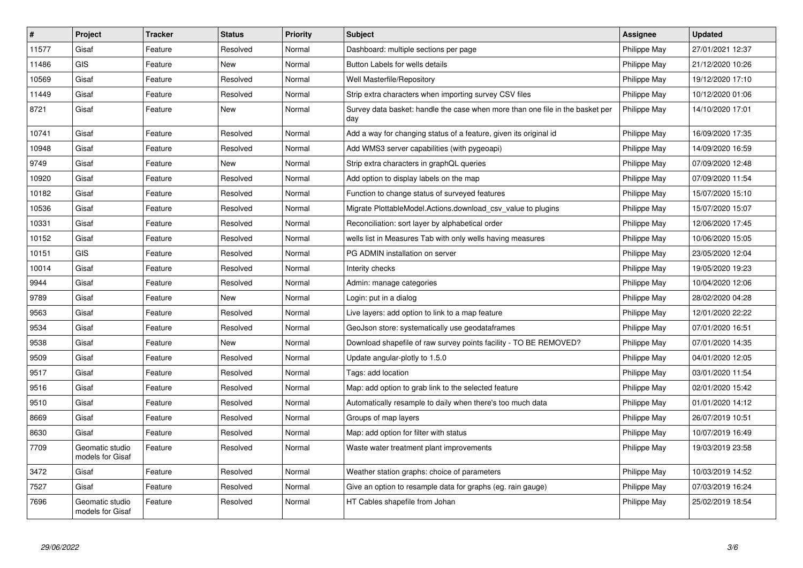| $\#$  | <b>Project</b>                      | <b>Tracker</b> | <b>Status</b> | <b>Priority</b> | <b>Subject</b>                                                                       | <b>Assignee</b> | <b>Updated</b>   |
|-------|-------------------------------------|----------------|---------------|-----------------|--------------------------------------------------------------------------------------|-----------------|------------------|
| 11577 | Gisaf                               | Feature        | Resolved      | Normal          | Dashboard: multiple sections per page                                                | Philippe May    | 27/01/2021 12:37 |
| 11486 | <b>GIS</b>                          | Feature        | <b>New</b>    | Normal          | Button Labels for wells details                                                      | Philippe May    | 21/12/2020 10:26 |
| 10569 | Gisaf                               | Feature        | Resolved      | Normal          | Well Masterfile/Repository                                                           | Philippe May    | 19/12/2020 17:10 |
| 11449 | Gisaf                               | Feature        | Resolved      | Normal          | Strip extra characters when importing survey CSV files                               | Philippe May    | 10/12/2020 01:06 |
| 8721  | Gisaf                               | Feature        | New           | Normal          | Survey data basket: handle the case when more than one file in the basket per<br>day | Philippe May    | 14/10/2020 17:01 |
| 10741 | Gisaf                               | Feature        | Resolved      | Normal          | Add a way for changing status of a feature, given its original id                    | Philippe May    | 16/09/2020 17:35 |
| 10948 | Gisaf                               | Feature        | Resolved      | Normal          | Add WMS3 server capabilities (with pygeoapi)                                         | Philippe May    | 14/09/2020 16:59 |
| 9749  | Gisaf                               | Feature        | New           | Normal          | Strip extra characters in graphQL queries                                            | Philippe May    | 07/09/2020 12:48 |
| 10920 | Gisaf                               | Feature        | Resolved      | Normal          | Add option to display labels on the map                                              | Philippe May    | 07/09/2020 11:54 |
| 10182 | Gisaf                               | Feature        | Resolved      | Normal          | Function to change status of surveyed features                                       | Philippe May    | 15/07/2020 15:10 |
| 10536 | Gisaf                               | Feature        | Resolved      | Normal          | Migrate PlottableModel.Actions.download csy value to plugins                         | Philippe May    | 15/07/2020 15:07 |
| 10331 | Gisaf                               | Feature        | Resolved      | Normal          | Reconciliation: sort layer by alphabetical order                                     | Philippe May    | 12/06/2020 17:45 |
| 10152 | Gisaf                               | Feature        | Resolved      | Normal          | wells list in Measures Tab with only wells having measures                           | Philippe May    | 10/06/2020 15:05 |
| 10151 | GIS                                 | Feature        | Resolved      | Normal          | PG ADMIN installation on server                                                      | Philippe May    | 23/05/2020 12:04 |
| 10014 | Gisaf                               | Feature        | Resolved      | Normal          | Interity checks                                                                      | Philippe May    | 19/05/2020 19:23 |
| 9944  | Gisaf                               | Feature        | Resolved      | Normal          | Admin: manage categories                                                             | Philippe May    | 10/04/2020 12:06 |
| 9789  | Gisaf                               | Feature        | New           | Normal          | Login: put in a dialog                                                               | Philippe May    | 28/02/2020 04:28 |
| 9563  | Gisaf                               | Feature        | Resolved      | Normal          | Live layers: add option to link to a map feature                                     | Philippe May    | 12/01/2020 22:22 |
| 9534  | Gisaf                               | Feature        | Resolved      | Normal          | GeoJson store: systematically use geodataframes                                      | Philippe May    | 07/01/2020 16:51 |
| 9538  | Gisaf                               | Feature        | New           | Normal          | Download shapefile of raw survey points facility - TO BE REMOVED?                    | Philippe May    | 07/01/2020 14:35 |
| 9509  | Gisaf                               | Feature        | Resolved      | Normal          | Update angular-plotly to 1.5.0                                                       | Philippe May    | 04/01/2020 12:05 |
| 9517  | Gisaf                               | Feature        | Resolved      | Normal          | Tags: add location                                                                   | Philippe May    | 03/01/2020 11:54 |
| 9516  | Gisaf                               | Feature        | Resolved      | Normal          | Map: add option to grab link to the selected feature                                 | Philippe May    | 02/01/2020 15:42 |
| 9510  | Gisaf                               | Feature        | Resolved      | Normal          | Automatically resample to daily when there's too much data                           | Philippe May    | 01/01/2020 14:12 |
| 8669  | Gisaf                               | Feature        | Resolved      | Normal          | Groups of map layers                                                                 | Philippe May    | 26/07/2019 10:51 |
| 8630  | Gisaf                               | Feature        | Resolved      | Normal          | Map: add option for filter with status                                               | Philippe May    | 10/07/2019 16:49 |
| 7709  | Geomatic studio<br>models for Gisaf | Feature        | Resolved      | Normal          | Waste water treatment plant improvements                                             | Philippe May    | 19/03/2019 23:58 |
| 3472  | Gisaf                               | Feature        | Resolved      | Normal          | Weather station graphs: choice of parameters                                         | Philippe May    | 10/03/2019 14:52 |
| 7527  | Gisaf                               | Feature        | Resolved      | Normal          | Give an option to resample data for graphs (eg. rain gauge)                          | Philippe May    | 07/03/2019 16:24 |
| 7696  | Geomatic studio<br>models for Gisaf | Feature        | Resolved      | Normal          | HT Cables shapefile from Johan                                                       | Philippe May    | 25/02/2019 18:54 |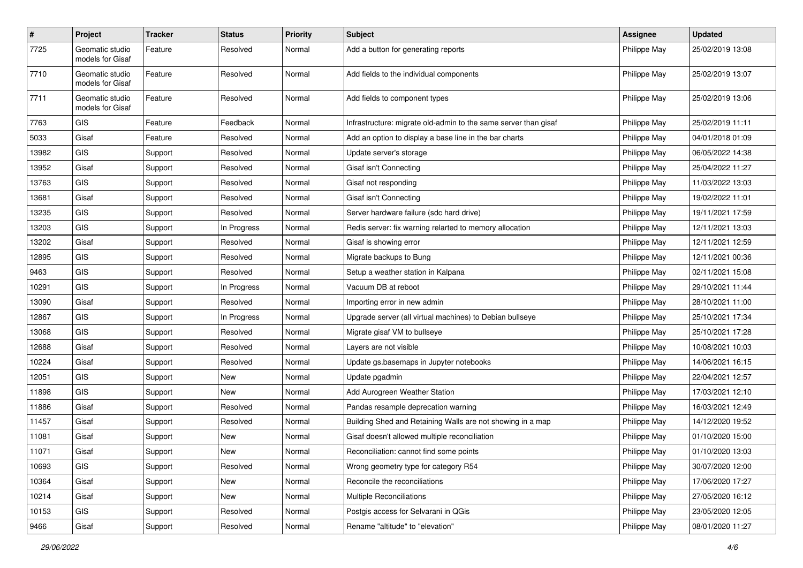| $\sharp$ | Project                             | <b>Tracker</b> | <b>Status</b> | <b>Priority</b> | <b>Subject</b>                                                  | <b>Assignee</b> | <b>Updated</b>   |
|----------|-------------------------------------|----------------|---------------|-----------------|-----------------------------------------------------------------|-----------------|------------------|
| 7725     | Geomatic studio<br>models for Gisaf | Feature        | Resolved      | Normal          | Add a button for generating reports                             | Philippe May    | 25/02/2019 13:08 |
| 7710     | Geomatic studio<br>models for Gisaf | Feature        | Resolved      | Normal          | Add fields to the individual components                         | Philippe May    | 25/02/2019 13:07 |
| 7711     | Geomatic studio<br>models for Gisaf | Feature        | Resolved      | Normal          | Add fields to component types                                   | Philippe May    | 25/02/2019 13:06 |
| 7763     | GIS                                 | Feature        | Feedback      | Normal          | Infrastructure: migrate old-admin to the same server than gisaf | Philippe May    | 25/02/2019 11:11 |
| 5033     | Gisaf                               | Feature        | Resolved      | Normal          | Add an option to display a base line in the bar charts          | Philippe May    | 04/01/2018 01:09 |
| 13982    | GIS                                 | Support        | Resolved      | Normal          | Update server's storage                                         | Philippe May    | 06/05/2022 14:38 |
| 13952    | Gisaf                               | Support        | Resolved      | Normal          | Gisaf isn't Connecting                                          | Philippe May    | 25/04/2022 11:27 |
| 13763    | <b>GIS</b>                          | Support        | Resolved      | Normal          | Gisaf not responding                                            | Philippe May    | 11/03/2022 13:03 |
| 13681    | Gisaf                               | Support        | Resolved      | Normal          | Gisaf isn't Connecting                                          | Philippe May    | 19/02/2022 11:01 |
| 13235    | GIS                                 | Support        | Resolved      | Normal          | Server hardware failure (sdc hard drive)                        | Philippe May    | 19/11/2021 17:59 |
| 13203    | <b>GIS</b>                          | Support        | In Progress   | Normal          | Redis server: fix warning relarted to memory allocation         | Philippe May    | 12/11/2021 13:03 |
| 13202    | Gisaf                               | Support        | Resolved      | Normal          | Gisaf is showing error                                          | Philippe May    | 12/11/2021 12:59 |
| 12895    | <b>GIS</b>                          | Support        | Resolved      | Normal          | Migrate backups to Bung                                         | Philippe May    | 12/11/2021 00:36 |
| 9463     | <b>GIS</b>                          | Support        | Resolved      | Normal          | Setup a weather station in Kalpana                              | Philippe May    | 02/11/2021 15:08 |
| 10291    | <b>GIS</b>                          | Support        | In Progress   | Normal          | Vacuum DB at reboot                                             | Philippe May    | 29/10/2021 11:44 |
| 13090    | Gisaf                               | Support        | Resolved      | Normal          | Importing error in new admin                                    | Philippe May    | 28/10/2021 11:00 |
| 12867    | GIS                                 | Support        | In Progress   | Normal          | Upgrade server (all virtual machines) to Debian bullseye        | Philippe May    | 25/10/2021 17:34 |
| 13068    | <b>GIS</b>                          | Support        | Resolved      | Normal          | Migrate gisaf VM to bullseye                                    | Philippe May    | 25/10/2021 17:28 |
| 12688    | Gisaf                               | Support        | Resolved      | Normal          | Layers are not visible                                          | Philippe May    | 10/08/2021 10:03 |
| 10224    | Gisaf                               | Support        | Resolved      | Normal          | Update gs.basemaps in Jupyter notebooks                         | Philippe May    | 14/06/2021 16:15 |
| 12051    | <b>GIS</b>                          | Support        | New           | Normal          | Update pgadmin                                                  | Philippe May    | 22/04/2021 12:57 |
| 11898    | GIS                                 | Support        | New           | Normal          | Add Aurogreen Weather Station                                   | Philippe May    | 17/03/2021 12:10 |
| 11886    | Gisaf                               | Support        | Resolved      | Normal          | Pandas resample deprecation warning                             | Philippe May    | 16/03/2021 12:49 |
| 11457    | Gisaf                               | Support        | Resolved      | Normal          | Building Shed and Retaining Walls are not showing in a map      | Philippe May    | 14/12/2020 19:52 |
| 11081    | Gisaf                               | Support        | New           | Normal          | Gisaf doesn't allowed multiple reconciliation                   | Philippe May    | 01/10/2020 15:00 |
| 11071    | Gisaf                               | Support        | New           | Normal          | Reconciliation: cannot find some points                         | Philippe May    | 01/10/2020 13:03 |
| 10693    | <b>GIS</b>                          | Support        | Resolved      | Normal          | Wrong geometry type for category R54                            | Philippe May    | 30/07/2020 12:00 |
| 10364    | Gisaf                               | Support        | New           | Normal          | Reconcile the reconciliations                                   | Philippe May    | 17/06/2020 17:27 |
| 10214    | Gisaf                               | Support        | New           | Normal          | Multiple Reconciliations                                        | Philippe May    | 27/05/2020 16:12 |
| 10153    | <b>GIS</b>                          | Support        | Resolved      | Normal          | Postgis access for Selvarani in QGis                            | Philippe May    | 23/05/2020 12:05 |
| 9466     | Gisaf                               | Support        | Resolved      | Normal          | Rename "altitude" to "elevation"                                | Philippe May    | 08/01/2020 11:27 |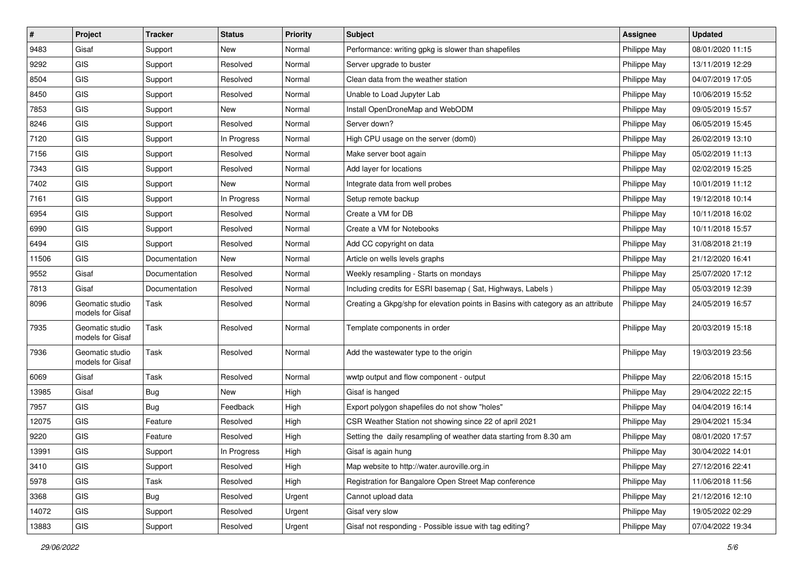| $\vert$ # | Project                             | <b>Tracker</b> | <b>Status</b> | <b>Priority</b> | Subject                                                                          | <b>Assignee</b> | <b>Updated</b>   |
|-----------|-------------------------------------|----------------|---------------|-----------------|----------------------------------------------------------------------------------|-----------------|------------------|
| 9483      | Gisaf                               | Support        | New           | Normal          | Performance: writing gpkg is slower than shapefiles                              | Philippe May    | 08/01/2020 11:15 |
| 9292      | <b>GIS</b>                          | Support        | Resolved      | Normal          | Server upgrade to buster                                                         | Philippe May    | 13/11/2019 12:29 |
| 8504      | GIS                                 | Support        | Resolved      | Normal          | Clean data from the weather station                                              | Philippe May    | 04/07/2019 17:05 |
| 8450      | GIS                                 | Support        | Resolved      | Normal          | Unable to Load Jupyter Lab                                                       | Philippe May    | 10/06/2019 15:52 |
| 7853      | <b>GIS</b>                          | Support        | <b>New</b>    | Normal          | Install OpenDroneMap and WebODM                                                  | Philippe May    | 09/05/2019 15:57 |
| 8246      | <b>GIS</b>                          | Support        | Resolved      | Normal          | Server down?                                                                     | Philippe May    | 06/05/2019 15:45 |
| 7120      | GIS                                 | Support        | In Progress   | Normal          | High CPU usage on the server (dom0)                                              | Philippe May    | 26/02/2019 13:10 |
| 7156      | GIS                                 | Support        | Resolved      | Normal          | Make server boot again                                                           | Philippe May    | 05/02/2019 11:13 |
| 7343      | GIS                                 | Support        | Resolved      | Normal          | Add layer for locations                                                          | Philippe May    | 02/02/2019 15:25 |
| 7402      | GIS                                 | Support        | <b>New</b>    | Normal          | Integrate data from well probes                                                  | Philippe May    | 10/01/2019 11:12 |
| 7161      | GIS                                 | Support        | In Progress   | Normal          | Setup remote backup                                                              | Philippe May    | 19/12/2018 10:14 |
| 6954      | GIS                                 | Support        | Resolved      | Normal          | Create a VM for DB                                                               | Philippe May    | 10/11/2018 16:02 |
| 6990      | GIS                                 | Support        | Resolved      | Normal          | Create a VM for Notebooks                                                        | Philippe May    | 10/11/2018 15:57 |
| 6494      | GIS                                 | Support        | Resolved      | Normal          | Add CC copyright on data                                                         | Philippe May    | 31/08/2018 21:19 |
| 11506     | <b>GIS</b>                          | Documentation  | <b>New</b>    | Normal          | Article on wells levels graphs                                                   | Philippe May    | 21/12/2020 16:41 |
| 9552      | Gisaf                               | Documentation  | Resolved      | Normal          | Weekly resampling - Starts on mondays                                            | Philippe May    | 25/07/2020 17:12 |
| 7813      | Gisaf                               | Documentation  | Resolved      | Normal          | Including credits for ESRI basemap (Sat, Highways, Labels)                       | Philippe May    | 05/03/2019 12:39 |
| 8096      | Geomatic studio<br>models for Gisaf | Task           | Resolved      | Normal          | Creating a Gkpg/shp for elevation points in Basins with category as an attribute | Philippe May    | 24/05/2019 16:57 |
| 7935      | Geomatic studio<br>models for Gisaf | Task           | Resolved      | Normal          | Template components in order                                                     | Philippe May    | 20/03/2019 15:18 |
| 7936      | Geomatic studio<br>models for Gisaf | Task           | Resolved      | Normal          | Add the wastewater type to the origin                                            | Philippe May    | 19/03/2019 23:56 |
| 6069      | Gisaf                               | Task           | Resolved      | Normal          | wwtp output and flow component - output                                          | Philippe May    | 22/06/2018 15:15 |
| 13985     | Gisaf                               | <b>Bug</b>     | New           | High            | Gisaf is hanged                                                                  | Philippe May    | 29/04/2022 22:15 |
| 7957      | <b>GIS</b>                          | Bug            | Feedback      | High            | Export polygon shapefiles do not show "holes"                                    | Philippe May    | 04/04/2019 16:14 |
| 12075     | <b>GIS</b>                          | Feature        | Resolved      | High            | CSR Weather Station not showing since 22 of april 2021                           | Philippe May    | 29/04/2021 15:34 |
| 9220      | GIS                                 | Feature        | Resolved      | High            | Setting the daily resampling of weather data starting from 8.30 am               | Philippe May    | 08/01/2020 17:57 |
| 13991     | $\ensuremath{\mathsf{GIS}}$         | Support        | In Progress   | High            | Gisaf is again hung                                                              | Philippe May    | 30/04/2022 14:01 |
| 3410      | GIS                                 | Support        | Resolved      | High            | Map website to http://water.auroville.org.in                                     | Philippe May    | 27/12/2016 22:41 |
| 5978      | GIS                                 | Task           | Resolved      | High            | Registration for Bangalore Open Street Map conference                            | Philippe May    | 11/06/2018 11:56 |
| 3368      | GIS                                 | Bug            | Resolved      | Urgent          | Cannot upload data                                                               | Philippe May    | 21/12/2016 12:10 |
| 14072     | GIS                                 | Support        | Resolved      | Urgent          | Gisaf very slow                                                                  | Philippe May    | 19/05/2022 02:29 |
| 13883     | GIS                                 | Support        | Resolved      | Urgent          | Gisaf not responding - Possible issue with tag editing?                          | Philippe May    | 07/04/2022 19:34 |